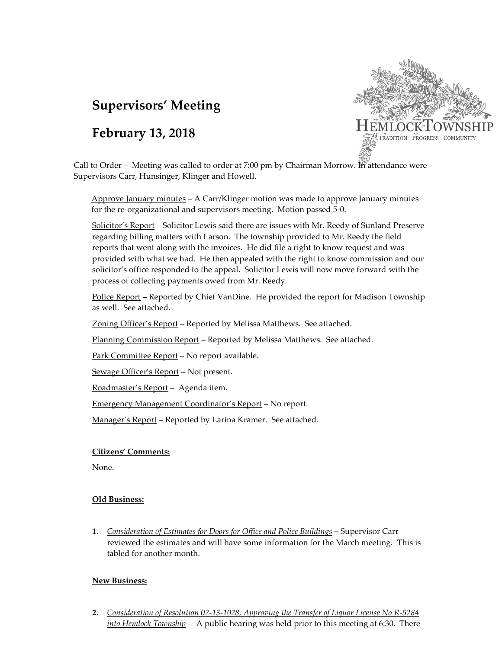# **Supervisors' Meeting**

## **February 13, 2018**



Call to Order – Meeting was called to order at 7:00 pm by Chairman Morrow. In attendance were Supervisors Carr, Hunsinger, Klinger and Howell.

Approve January minutes – A Carr/Klinger motion was made to approve January minutes for the re-organizational and supervisors meeting. Motion passed 5-0.

Solicitor's Report - Solicitor Lewis said there are issues with Mr. Reedy of Sunland Preserve regarding billing matters with Larson. The township provided to Mr. Reedy the field reports that went along with the invoices. He did file a right to know request and was provided with what we had. He then appealed with the right to know commission and our solicitor's office responded to the appeal. Solicitor Lewis will now move forward with the process of collecting payments owed from Mr. Reedy.

Police Report - Reported by Chief VanDine. He provided the report for Madison Township as well. See attached.

Zoning Officer's Report – Reported by Melissa Matthews. See attached.

Planning Commission Report – Reported by Melissa Matthews. See attached.

Park Committee Report - No report available.

Sewage Officer's Report – Not present.

Roadmaster's Report – Agenda item.

Emergency Management Coordinator's Report – No report.

Manager's Report – Reported by Larina Kramer. See attached.

#### **Citizens' Comments:**

None.

### **Old Business:**

**1.** *Consideration of Estimates for Doors for Office and Police Buildings* **–** Supervisor Carr reviewed the estimates and will have some information for the March meeting. This is tabled for another month.

### **New Business:**

**2.** *Consideration of Resolution 02-13-1028, Approving the Transfer of Liquor License No R-5284 into Hemlock Township* – A public hearing was held prior to this meeting at 6:30. There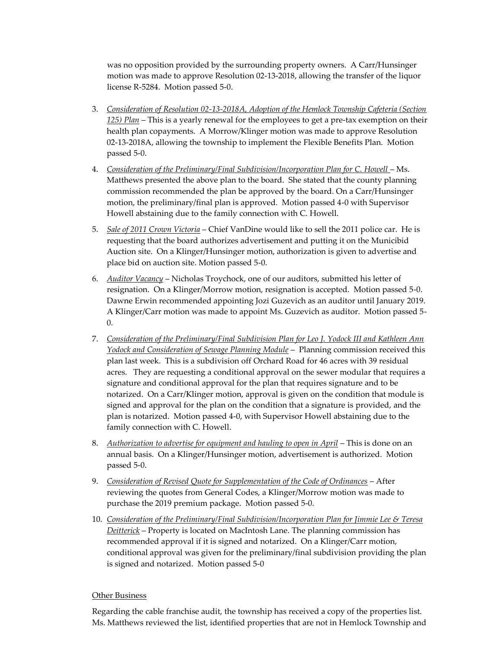was no opposition provided by the surrounding property owners. A Carr/Hunsinger motion was made to approve Resolution 02-13-2018, allowing the transfer of the liquor license R-5284. Motion passed 5-0.

- 3. *Consideration of Resolution 02-13-2018A, Adoption of the Hemlock Township Cafeteria (Section 125) Plan* – This is a yearly renewal for the employees to get a pre-tax exemption on their health plan copayments. A Morrow/Klinger motion was made to approve Resolution 02-13-2018A, allowing the township to implement the Flexible Benefits Plan. Motion passed 5-0.
- 4. Consideration of the Preliminary/Final Subdivision/Incorporation Plan for C. Howell Ms. Matthews presented the above plan to the board. She stated that the county planning commission recommended the plan be approved by the board. On a Carr/Hunsinger motion, the preliminary/final plan is approved. Motion passed 4-0 with Supervisor Howell abstaining due to the family connection with C. Howell.
- 5. *Sale of 2011 Crown Victoria* Chief VanDine would like to sell the 2011 police car. He is requesting that the board authorizes advertisement and putting it on the Municibid Auction site. On a Klinger/Hunsinger motion, authorization is given to advertise and place bid on auction site. Motion passed 5-0.
- 6. *Auditor Vacancy* Nicholas Troychock, one of our auditors, submitted his letter of resignation. On a Klinger/Morrow motion, resignation is accepted. Motion passed 5-0. Dawne Erwin recommended appointing Jozi Guzevich as an auditor until January 2019. A Klinger/Carr motion was made to appoint Ms. Guzevich as auditor. Motion passed 5- 0.
- 7. *Consideration of the Preliminary/Final Subdivision Plan for Leo J. Yodock III and Kathleen Ann Yodock and Consideration of Sewage Planning Module* – Planning commission received this plan last week. This is a subdivision off Orchard Road for 46 acres with 39 residual acres. They are requesting a conditional approval on the sewer modular that requires a signature and conditional approval for the plan that requires signature and to be notarized. On a Carr/Klinger motion, approval is given on the condition that module is signed and approval for the plan on the condition that a signature is provided, and the plan is notarized. Motion passed 4-0, with Supervisor Howell abstaining due to the family connection with C. Howell.
- 8. *Authorization to advertise for equipment and hauling to open in April* This is done on an annual basis. On a Klinger/Hunsinger motion, advertisement is authorized. Motion passed 5-0.
- 9. *Consideration of Revised Quote for Supplementation of the Code of Ordinances* After reviewing the quotes from General Codes, a Klinger/Morrow motion was made to purchase the 2019 premium package. Motion passed 5-0.
- 10. *Consideration of the Preliminary/Final Subdivision/Incorporation Plan for Jimmie Lee & Teresa Deitterick* – Property is located on MacIntosh Lane. The planning commission has recommended approval if it is signed and notarized. On a Klinger/Carr motion, conditional approval was given for the preliminary/final subdivision providing the plan is signed and notarized. Motion passed 5-0

### Other Business

Regarding the cable franchise audit, the township has received a copy of the properties list. Ms. Matthews reviewed the list, identified properties that are not in Hemlock Township and